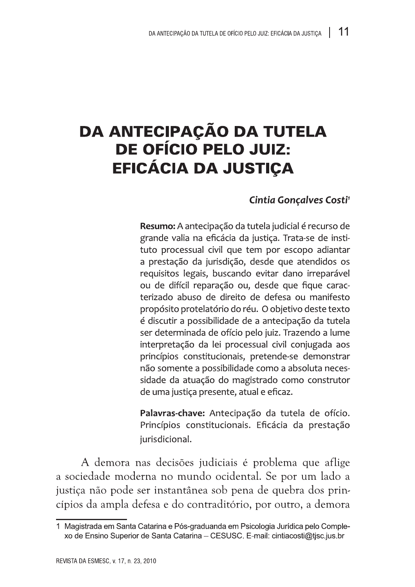## DA ANTECIPAÇÃO DA TUTELA DE OFÍCIO PELO JUIZ: EFICÁCIA DA JUSTIÇA

## Cintia Gonçalves Costi<sup>1</sup>

Resumo: A antecipação da tutela judicial é recurso de grande valia na eficácia da justica. Trata-se de instituto processual civil que tem por escopo adiantar a prestação da jurisdição, desde que atendidos os requisitos legais, buscando evitar dano irreparável ou de difícil reparação ou, desde que fique caracterizado abuso de direito de defesa ou manifesto propósito protelatório do réu. O objetivo deste texto é discutir a possibilidade de a antecipação da tutela ser determinada de ofício pelo juiz. Trazendo a lume interpretação da lei processual civil conjugada aos princípios constitucionais, pretende-se demonstrar não somente a possibilidade como a absoluta necessidade da atuação do magistrado como construtor de uma justica presente, atual e eficaz.

Palavras-chave: Antecipação da tutela de ofício. Princípios constitucionais. Eficácia da prestação jurisdicional.

A demora nas decisões judiciais é problema que aflige a sociedade moderna no mundo ocidental. Se por um lado a justiça não pode ser instantânea sob pena de quebra dos princípios da ampla defesa e do contraditório, por outro, a demora

<sup>1</sup> Magistrada em Santa Catarina e Pós-graduanda em Psicologia Jurídica pelo Complexo de Ensino Superior de Santa Catarina - CESUSC. E-mail: cintiacosti@tisc.jus.br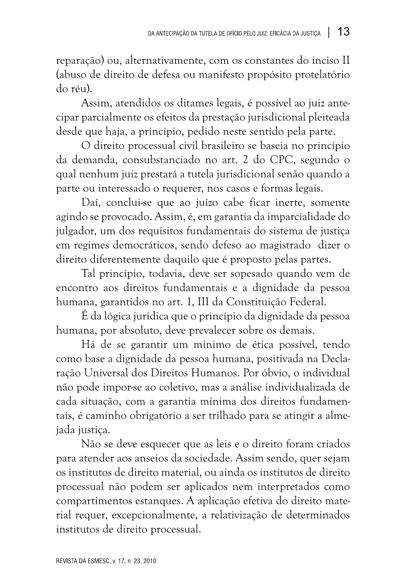reparação) ou, alternativamente, com os constantes do inciso II (abuso de direito de defesa ou manifesto propósito protelatório do réu).

Assim, atendidos os ditames legais, é possível ao juiz antecipar parcialmente os efeitos da prestação jurisdicional pleiteada desde que haja, a princípio, pedido neste sentido pela parte.

O direito processual civil brasileiro se baseia no princípio da demanda, consubstanciado no art. 2 do CPC, segundo o qual nenhum juiz prestará a tutela jurisdicional senão quando a parte ou interessado o requerer, nos casos e formas legais.

Daí, conclui-se que ao juízo cabe ficar inerte, somente agindo se provocado. Assim, é, em garantia da imparcialidade do julgador, um dos requisitos fundamentais do sistema de justica em regimes democráticos, sendo defeso ao magistrado dizer o direito diferentemente daquilo que é proposto pelas partes.

Tal princípio, todavia, deve ser sopesado quando vem de encontro aos direitos fundamentais e a dignidade da pessoa humana, garantidos no art. 1, III da Constituição Federal.

É da lógica jurídica que o princípio da dignidade da pessoa humana, por absoluto, deve prevalecer sobre os demais.

Há de se garantir um mínimo de ética possível, tendo como base a dignidade da pessoa humana, positivada na Declaração Universal dos Direitos Humanos. Por óbvio, o individual não pode impor-se ao coletivo, mas a análise individualizada de cada situação, com a garantia mínima dos direitos fundamentais, é caminho obrigatório a ser trilhado para se atingir a almejada justica.

Não se deve esquecer que as leis e o direito foram criados para atender aos anseios da sociedade. Assim sendo, quer sejam os institutos de direito material, ou ainda os institutos de direito processual não podem ser aplicados nem interpretados como compartimentos estanques. A aplicação efetiva do direito material requer, excepcionalmente, a relativização de determinados institutos de direito processual.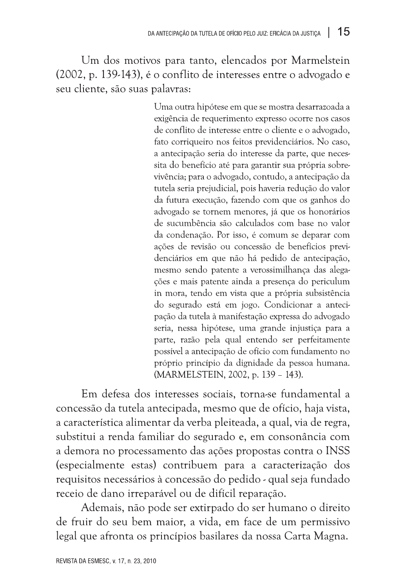Um dos motivos para tanto, elencados por Marmelstein (2002, p. 139-143), é o conflito de interesses entre o advogado e seu cliente, são suas palavras:

> Uma outra hipótese em que se mostra desarrazoada a exigência de requerimento expresso ocorre nos casos de conflito de interesse entre o cliente e o advogado. fato corriqueiro nos feitos previdenciários. No caso, a antecipação seria do interesse da parte, que necessita do benefício até para garantir sua própria sobrevivência; para o advogado, contudo, a antecipação da tutela seria prejudicial, pois haveria redução do valor da futura execução, fazendo com que os ganhos do advogado se tornem menores, já que os honorários de sucumbência são calculados com base no valor da condenação. Por isso, é comum se deparar com ações de revisão ou concessão de benefícios previdenciários em que não há pedido de antecipação, mesmo sendo patente a verossimilhança das alegacões e mais patente ainda a presenca do periculum in mora, tendo em vista que a própria subsistência do segurado está em jogo. Condicionar a antecipação da tutela à manifestação expressa do advogado seria, nessa hipótese, uma grande injustiça para a parte, razão pela qual entendo ser perfeitamente possível a antecipação de ofício com fundamento no próprio princípio da dignidade da pessoa humana. (MARMELSTEIN, 2002, p. 139 - 143).

Em defesa dos interesses sociais, torna-se fundamental a concessão da tutela antecipada, mesmo que de ofício, haja vista, a característica alimentar da verba pleiteada, a qual, via de regra, substitui a renda familiar do segurado e, em consonância com a demora no processamento das ações propostas contra o INSS (especialmente estas) contribuem para a caracterização dos requisitos necessários à concessão do pedido - qual seja fundado receio de dano irreparável ou de difícil reparação.

Ademais, não pode ser extirpado do ser humano o direito de fruir do seu bem maior, a vida, em face de um permissivo legal que afronta os princípios basilares da nossa Carta Magna.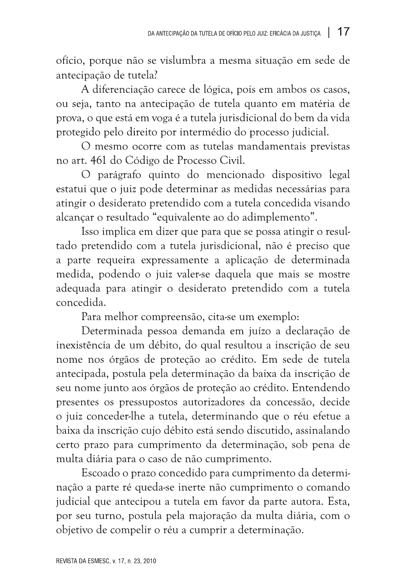ofício, porque não se vislumbra a mesma situação em sede de antecipação de tutela?

A diferenciação carece de lógica, pois em ambos os casos, ou seja, tanto na antecipação de tutela quanto em matéria de prova, o que está em voga é a tutela jurisdicional do bem da vida protegido pelo direito por intermédio do processo judicial.

O mesmo ocorre com as tutelas mandamentais previstas no art. 461 do Código de Processo Civil.

O parágrafo quinto do mencionado dispositivo legal estatui que o juiz pode determinar as medidas necessárias para atingir o desiderato pretendido com a tutela concedida visando alcançar o resultado "equivalente ao do adimplemento".

Isso implica em dizer que para que se possa atingir o resultado pretendido com a tutela jurisdicional, não é preciso que a parte requeira expressamente a aplicação de determinada medida, podendo o juiz valer-se daquela que mais se mostre adequada para atingir o desiderato pretendido com a tutela concedida.

Para melhor compreensão, cita-se um exemplo:

Determinada pessoa demanda em juízo a declaração de inexistência de um débito, do qual resultou a inscrição de seu nome nos órgãos de proteção ao crédito. Em sede de tutela antecipada, postula pela determinação da baixa da inscrição de seu nome junto aos órgãos de proteção ao crédito. Entendendo presentes os pressupostos autorizadores da concessão, decide o juiz conceder-lhe a tutela, determinando que o réu efetue a baixa da inscrição cujo débito está sendo discutido, assinalando certo prazo para cumprimento da determinação, sob pena de multa diária para o caso de não cumprimento.

Escoado o prazo concedido para cumprimento da determinação a parte ré queda-se inerte não cumprimento o comando judicial que antecipou a tutela em favor da parte autora. Esta, por seu turno, postula pela majoração da multa diária, com o objetivo de compelir o réu a cumprir a determinação.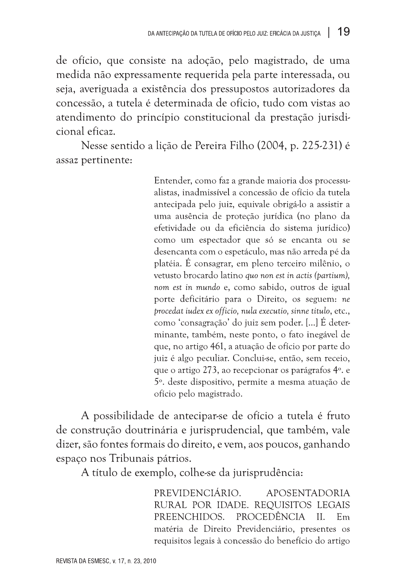de ofício, que consiste na adoção, pelo magistrado, de uma medida não expressamente requerida pela parte interessada, ou seja, averiguada a existência dos pressupostos autorizadores da concessão, a tutela é determinada de ofício, tudo com vistas ao atendimento do princípio constitucional da prestação jurisdicional eficaz.

Nesse sentido a lição de Pereira Filho (2004, p. 225-231) é assaz pertinente:

> Entender, como faz a grande maioria dos processualistas, inadmissível a concessão de ofício da tutela antecipada pelo juiz, equivale obrigá-lo a assistir a uma ausência de proteção jurídica (no plano da efetividade ou da eficiência do sistema jurídico) como um espectador que só se encanta ou se desencanta com o espetáculo, mas não arreda pé da platéia. É consagrar, em pleno terceiro milênio, o vetusto brocardo latino quo non est in actis (partium), nom est in mundo e, como sabido, outros de igual porte deficitário para o Direito, os seguem: ne procedat iudex ex officio, nula executio, sinne titulo, etc., como 'consagração' do juiz sem poder. [...] É determinante, também, neste ponto, o fato inegável de que, no artigo 461, a atuação de ofício por parte do juiz é algo peculiar. Conclui-se, então, sem receio, que o artigo 273, ao recepcionar os parágrafos 4°, e 5<sup>°</sup>. deste dispositivo, permite a mesma atuação de ofício pelo magistrado.

A possibilidade de antecipar-se de ofício a tutela é fruto de construção doutrinária e jurisprudencial, que também, vale dizer, são fontes formais do direito, e vem, aos poucos, ganhando espaco nos Tribunais pátrios.

A título de exemplo, colhe-se da jurisprudência:

PREVIDENCIÁRIO. **APOSENTADORIA** RURAL POR IDADE. REQUISITOS LEGAIS PROCEDÊNCIA PREENCHIDOS.  $II$  $F<sub>m</sub>$ matéria de Direito Previdenciário, presentes os requisitos legais à concessão do benefício do artigo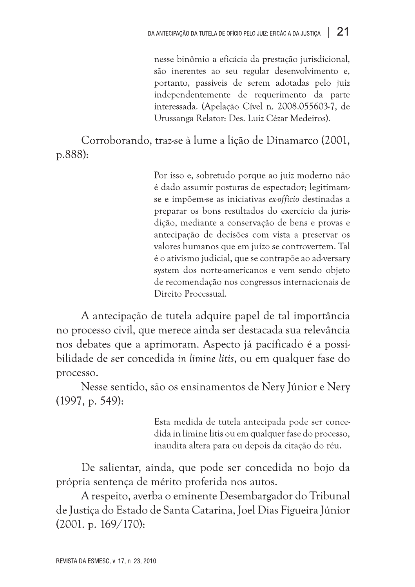es antençados runsos tenentes mayorias en 124<br>
messe binómio a efectária de presenção intradicional,<br>
são mechanica, passens ao seu regular descrudeiranos e,<br>
parametrica ao seu regular descrudeiranos e,<br>
parametrica ao